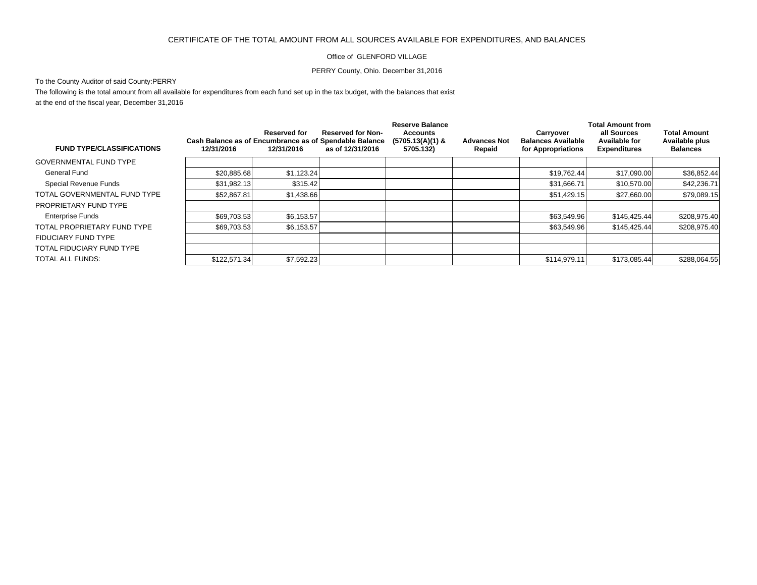## CERTIFICATE OF THE TOTAL AMOUNT FROM ALL SOURCES AVAILABLE FOR EXPENDITURES, AND BALANCES

## Office of GLENFORD VILLAGE

## PERRY County, Ohio. December 31,2016

## To the County Auditor of said County:PERRY

The following is the total amount from all available for expenditures from each fund set up in the tax budget, with the balances that exist at the end of the fiscal year, December 31,2016

|                                  |                                                                      |                            |                                              | <b>Reserve Balance</b>                      |                               | <b>Total Amount from</b>                                     |                                                     |                                                          |
|----------------------------------|----------------------------------------------------------------------|----------------------------|----------------------------------------------|---------------------------------------------|-------------------------------|--------------------------------------------------------------|-----------------------------------------------------|----------------------------------------------------------|
| <b>FUND TYPE/CLASSIFICATIONS</b> | Cash Balance as of Encumbrance as of Spendable Balance<br>12/31/2016 | Reserved for<br>12/31/2016 | <b>Reserved for Non-</b><br>as of 12/31/2016 | Accounts<br>$(5705.13(A)(1)$ &<br>5705.132) | <b>Advances Not</b><br>Repaid | Carryover<br><b>Balances Available</b><br>for Appropriations | all Sources<br>Available for<br><b>Expenditures</b> | <b>Total Amount</b><br>Available plus<br><b>Balances</b> |
| <b>GOVERNMENTAL FUND TYPE</b>    |                                                                      |                            |                                              |                                             |                               |                                                              |                                                     |                                                          |
| General Fund                     | \$20,885.68                                                          | \$1,123.24                 |                                              |                                             |                               | \$19,762.44                                                  | \$17,090.00                                         | \$36,852.44                                              |
| Special Revenue Funds            | \$31.982.13                                                          | \$315.42                   |                                              |                                             |                               | \$31.666.71                                                  | \$10,570,00                                         | \$42,236.71                                              |
| TOTAL GOVERNMENTAL FUND TYPE     | \$52,867.81                                                          | \$1,438.66                 |                                              |                                             |                               | \$51,429.15                                                  | \$27,660.00                                         | \$79,089.15                                              |
| PROPRIETARY FUND TYPE            |                                                                      |                            |                                              |                                             |                               |                                                              |                                                     |                                                          |
| <b>Enterprise Funds</b>          | \$69,703.53                                                          | \$6,153.57                 |                                              |                                             |                               | \$63.549.96                                                  | \$145.425.44                                        | \$208,975.40                                             |
| TOTAL PROPRIETARY FUND TYPE      | \$69,703.53                                                          | \$6,153.57                 |                                              |                                             |                               | \$63,549.96                                                  | \$145,425.44                                        | \$208,975.40                                             |
| FIDUCIARY FUND TYPE              |                                                                      |                            |                                              |                                             |                               |                                                              |                                                     |                                                          |
| TOTAL FIDUCIARY FUND TYPE        |                                                                      |                            |                                              |                                             |                               |                                                              |                                                     |                                                          |
| TOTAL ALL FUNDS:                 | \$122,571.34                                                         | \$7,592.23                 |                                              |                                             |                               | \$114,979.11                                                 | \$173,085.44                                        | \$288,064.55                                             |
|                                  |                                                                      |                            |                                              |                                             |                               |                                                              |                                                     |                                                          |